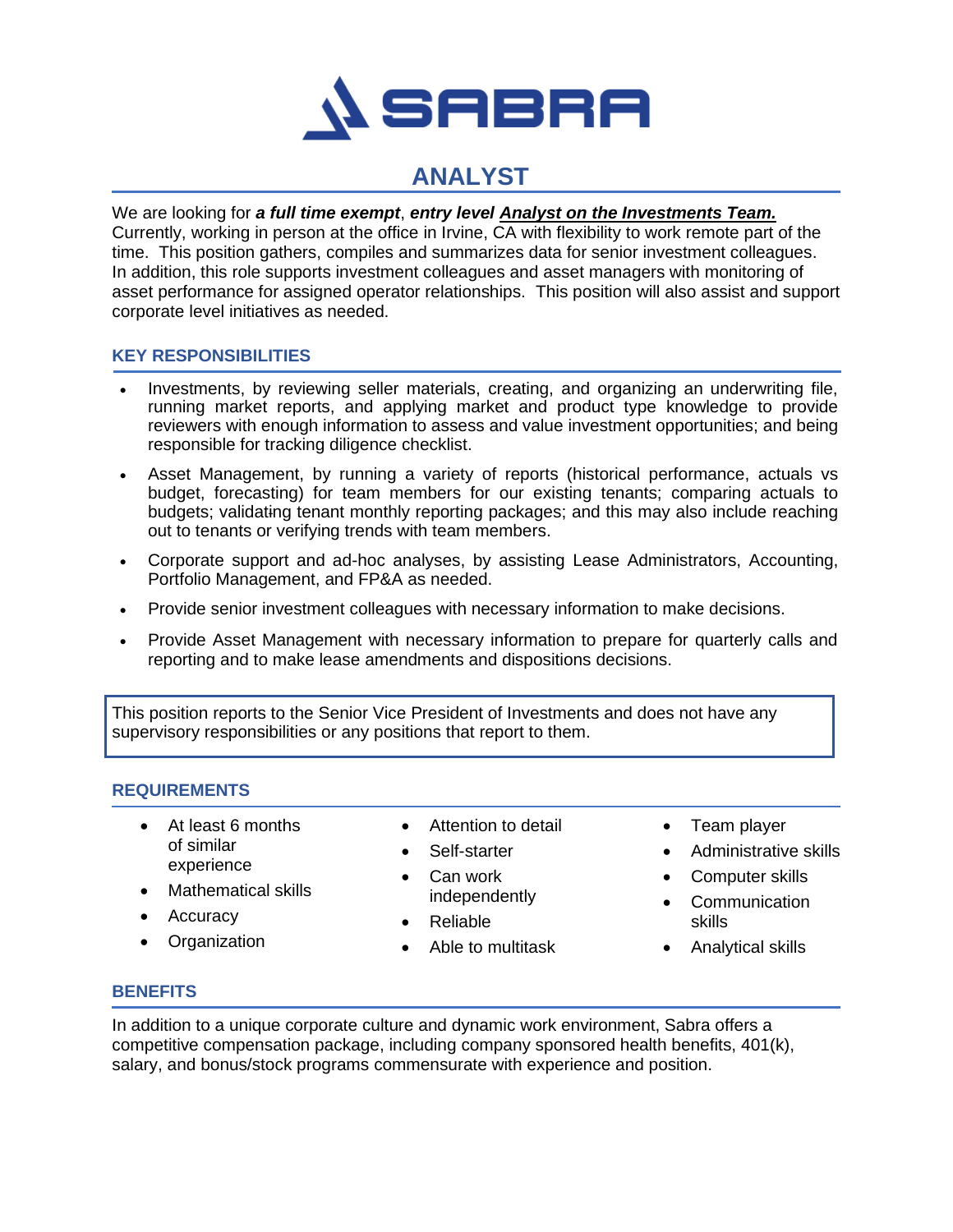

# **ANALYST**

### We are looking for *a full time exempt*, *entry level Analyst on the Investments Team.*

Currently, working in person at the office in Irvine, CA with flexibility to work remote part of the time. This position gathers, compiles and summarizes data for senior investment colleagues. In addition, this role supports investment colleagues and asset managers with monitoring of asset performance for assigned operator relationships. This position will also assist and support corporate level initiatives as needed.

#### **KEY RESPONSIBILITIES**

- Investments, by reviewing seller materials, creating, and organizing an underwriting file, running market reports, and applying market and product type knowledge to provide reviewers with enough information to assess and value investment opportunities; and being responsible for tracking diligence checklist.
- Asset Management, by running a variety of reports (historical performance, actuals vs budget, forecasting) for team members for our existing tenants; comparing actuals to budgets; validating tenant monthly reporting packages; and this may also include reaching out to tenants or verifying trends with team members.
- Corporate support and ad-hoc analyses, by assisting Lease Administrators, Accounting, Portfolio Management, and FP&A as needed.
- Provide senior investment colleagues with necessary information to make decisions.
- Provide Asset Management with necessary information to prepare for quarterly calls and reporting and to make lease amendments and dispositions decisions.

This position reports to the Senior Vice President of Investments and does not have any supervisory responsibilities or any positions that report to them.

#### **REQUIREMENTS**

- At least 6 months of similar experience
- Mathematical skills
- Accuracy
- Organization
- Attention to detail
- Self-starter
- Can work independently
- Reliable
- Able to multitask
- Team player
- Administrative skills
- Computer skills
- Communication skills
- Analytical skills

#### **BENEFITS**

In addition to a unique corporate culture and dynamic work environment, Sabra offers a competitive compensation package, including company sponsored health benefits, 401(k), salary, and bonus/stock programs commensurate with experience and position.